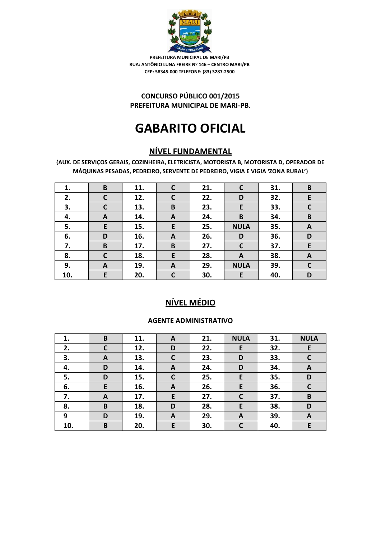

### **CONCURSO PÚBLICO 001/2015 PREFEITURA MUNICIPAL DE MARI-PB.**

# **GABARITO OFICIAL**

# **NÍVEL FUNDAMENTAL**

**(AUX. DE SERVIÇOS GERAIS, COZINHEIRA, ELETRICISTA, MOTORISTA B, MOTORISTA D, OPERADOR DE MÁQUINAS PESADAS, PEDREIRO, SERVENTE DE PEDREIRO, VIGIA E VIGIA 'ZONA RURAL')**

| 1.  | B            | 11. | $\mathsf{C}$     | 21. | C            | 31. | B            |
|-----|--------------|-----|------------------|-----|--------------|-----|--------------|
| 2.  | $\mathsf{C}$ | 12. | $\mathsf{C}$     | 22. | D            | 32. | E            |
| 3.  | $\mathsf{C}$ | 13. | B                | 23. | E            | 33. | $\mathbf c$  |
| 4.  | A            | 14. | $\boldsymbol{A}$ | 24. | B            | 34. | B            |
| 5.  | E            | 15. | E                | 25. | <b>NULA</b>  | 35. | A            |
| 6.  | D            | 16. | A                | 26. | D            | 36. | D            |
| 7.  | B            | 17. | B                | 27. | $\mathsf{C}$ | 37. | E            |
| 8.  | $\mathbf c$  | 18. | E                | 28. | A            | 38. | A            |
| 9.  | A            | 19. | A                | 29. | <b>NULA</b>  | 39. | $\mathsf{C}$ |
| 10. | E            | 20. | C                | 30. | E            | 40. | D            |

# **NÍVEL MÉDIO**

### **AGENTE ADMINISTRATIVO**

| 1.  | B            | 11. | A            | 21. | <b>NULA</b> | 31. | <b>NULA</b>  |
|-----|--------------|-----|--------------|-----|-------------|-----|--------------|
| 2.  | $\mathsf{C}$ | 12. | D            | 22. | E           | 32. | E            |
| 3.  | A            | 13. | $\mathbf c$  | 23. | D           | 33. | $\mathsf{C}$ |
| 4.  | D            | 14. | A            | 24. | D           | 34. | A            |
| 5.  | D            | 15. | C            | 25. | E           | 35. | D            |
| 6.  | E            | 16. | A            | 26. | E           | 36. | $\mathsf{C}$ |
| 7.  | A            | 17. | E            | 27. | C           | 37. | B            |
| 8.  | B            | 18. | D            | 28. | E           | 38. | D            |
| 9   | D            | 19. | $\mathbf{A}$ | 29. | A           | 39. | A            |
| 10. | B            | 20. | E            | 30. |             | 40. | E            |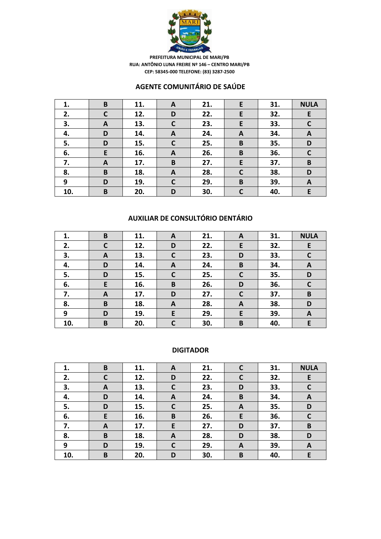

### **AGENTE COMUNITÁRIO DE SAÚDE**

| 1.  | B           | 11. | A           | 21. | E            | 31. | <b>NULA</b>  |
|-----|-------------|-----|-------------|-----|--------------|-----|--------------|
| 2.  | $\mathbf C$ | 12. | D           | 22. | E            | 32. | E            |
| 3.  | A           | 13. | $\mathbf c$ | 23. | E            | 33. | $\mathbf C$  |
| 4.  | D           | 14. | A           | 24. | A            | 34. | A            |
| 5.  | D           | 15. | $\mathbf c$ | 25. | B            | 35. | D            |
| 6.  | E           | 16. | A           | 26. | B            | 36. | $\mathsf{C}$ |
| 7.  | A           | 17. | B           | 27. | E            | 37. | B            |
| 8.  | B           | 18. | A           | 28. | $\mathsf{C}$ | 38. | D            |
| 9   | D           | 19. | $\mathbf C$ | 29. | B            | 39. | A            |
| 10. | B           | 20. | D           | 30. |              | 40. | E            |

### **AUXILIAR DE CONSULTÓRIO DENTÁRIO**

| 1.  | B | 11. | A            | 21. | A | 31. | <b>NULA</b>  |
|-----|---|-----|--------------|-----|---|-----|--------------|
| 2.  | C | 12. | D            | 22. | E | 32. | E            |
| 3.  | A | 13. | $\mathsf{C}$ | 23. | D | 33. | $\mathsf{C}$ |
| 4.  | D | 14. | A            | 24. | B | 34. | A            |
| 5.  | D | 15. | C            | 25. | C | 35. | D            |
| 6.  | E | 16. | B            | 26. | D | 36. | $\mathbf c$  |
| 7.  | A | 17. | D            | 27. | C | 37. | B            |
| 8.  | B | 18. | A            | 28. | A | 38. | D            |
| 9   | D | 19. | E            | 29. | E | 39. | A            |
| 10. | B | 20. | $\mathsf{C}$ | 30. | B | 40. | E.           |

#### **DIGITADOR**

| 1.  | B | 11. | A            | 21. | C | 31. | <b>NULA</b>  |
|-----|---|-----|--------------|-----|---|-----|--------------|
| 2.  | C | 12. | D            | 22. | C | 32. | E            |
| 3.  | A | 13. | $\mathbf c$  | 23. | D | 33. | $\mathsf{C}$ |
| 4.  | D | 14. | A            | 24. | B | 34. | A            |
| 5.  | D | 15. | $\mathbf C$  | 25. | A | 35. | D            |
| 6.  | E | 16. | B            | 26. | E | 36. | C            |
| 7.  | A | 17. | E            | 27. | D | 37. | B            |
| 8.  | B | 18. | $\mathbf{A}$ | 28. | D | 38. | D            |
| 9   | D | 19. | C            | 29. | A | 39. | A            |
| 10. | B | 20. | D            | 30. | B | 40. | E            |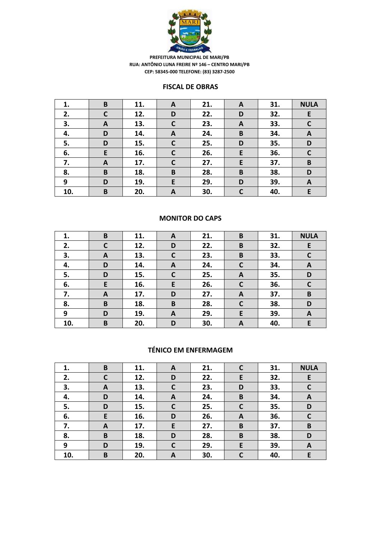

#### **FISCAL DE OBRAS**

| 1.  | B            | 11. | A            | 21. | A            | 31. | <b>NULA</b>  |
|-----|--------------|-----|--------------|-----|--------------|-----|--------------|
| 2.  | $\mathsf{C}$ | 12. | D            | 22. | D            | 32. | E            |
| 3.  | A            | 13. | $\mathbf C$  | 23. | $\mathbf{A}$ | 33. | $\mathsf{C}$ |
| 4.  | D            | 14. | A            | 24. | B            | 34. | A            |
| 5.  | D            | 15. | $\mathsf{C}$ | 25. | D            | 35. | D            |
| 6.  | E            | 16. | $\mathbf C$  | 26. | E            | 36. | $\mathbf C$  |
| 7.  | A            | 17. | $\mathbf C$  | 27. | E            | 37. | $\, {\bf B}$ |
| 8.  | B            | 18. | B            | 28. | B            | 38. | D            |
| 9   | D            | 19. | E            | 29. | D            | 39. | A            |
| 10. | B            | 20. | A            | 30. |              | 40. | E            |

#### **MONITOR DO CAPS**

| 1.  | B | 11. | A            | 21. | B | 31. | <b>NULA</b>  |
|-----|---|-----|--------------|-----|---|-----|--------------|
| 2.  | C | 12. | D            | 22. | B | 32. | E            |
| 3.  | A | 13. | $\mathsf{C}$ | 23. | B | 33. | $\mathsf{C}$ |
| 4.  | D | 14. | A            | 24. | C | 34. | A            |
| 5.  | D | 15. | C            | 25. | A | 35. | D            |
| 6.  | E | 16. | E            | 26. | C | 36. | $\mathsf{C}$ |
| 7.  | A | 17. | D            | 27. | A | 37. | B            |
| 8.  | B | 18. | B            | 28. | C | 38. | D            |
| 9   | D | 19. | A            | 29. | E | 39. | A            |
| 10. | B | 20. | D            | 30. | A | 40. | E.           |

### **TÉNICO EM ENFERMAGEM**

| 1.  | B | 11. | A           | 21. |              | 31. | <b>NULA</b> |
|-----|---|-----|-------------|-----|--------------|-----|-------------|
| 2.  | C | 12. | D           | 22. | E            | 32. | E           |
| 3.  | A | 13. | $\mathbf c$ | 23. | D            | 33. | $\mathbf c$ |
| 4.  | D | 14. | A           | 24. | B            | 34. | A           |
| 5.  | D | 15. | $\mathbf C$ | 25. | $\mathsf{C}$ | 35. | D           |
| 6.  | E | 16. | D           | 26. | A            | 36. | C           |
| 7.  | A | 17. | E           | 27. | B            | 37. | $\mathbf B$ |
| 8.  | B | 18. | D           | 28. | B            | 38. | D           |
| 9   | D | 19. | C           | 29. | E            | 39. | A           |
| 10. | B | 20. | A           | 30. |              | 40. | E           |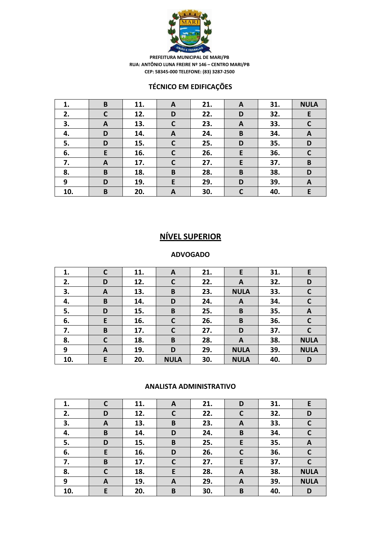

### **TÉCNICO EM EDIFICAÇÕES**

| 1.  | B           | 11. | A           | 21. | A | 31. | <b>NULA</b> |
|-----|-------------|-----|-------------|-----|---|-----|-------------|
| 2.  | $\mathbf C$ | 12. | D           | 22. | D | 32. | E           |
| 3.  | A           | 13. | $\mathbf C$ | 23. | A | 33. | $\mathbf C$ |
| 4.  | D           | 14. | A           | 24. | B | 34. | A           |
| 5.  | D           | 15. | $\mathbf c$ | 25. | D | 35. | D           |
| 6.  | E           | 16. | $\mathbf c$ | 26. | E | 36. | $\mathbf C$ |
| 7.  | A           | 17. | $\mathbf C$ | 27. | E | 37. | B           |
| 8.  | B           | 18. | B           | 28. | B | 38. | D           |
| 9   | D           | 19. | E           | 29. | D | 39. | A           |
| 10. | B           | 20. | A           | 30. |   | 40. | E           |

# **NÍVEL SUPERIOR**

#### **ADVOGADO**

| 1.  | C            | 11. | A            | 21. | E           | 31. | E            |
|-----|--------------|-----|--------------|-----|-------------|-----|--------------|
| 2.  | D            | 12. | $\mathbf c$  | 22. | A           | 32. | D            |
| 3.  | A            | 13. | B            | 23. | <b>NULA</b> | 33. | $\mathsf{C}$ |
| 4.  | B            | 14. | D            | 24. | A           | 34. | $\mathbf c$  |
| 5.  | D            | 15. | B            | 25. | B           | 35. | A            |
| 6.  | E            | 16. | C            | 26. | B           | 36. | $\mathsf{C}$ |
| 7.  | B            | 17. | $\mathsf{C}$ | 27. | D           | 37. | C            |
| 8.  | $\mathsf{C}$ | 18. | B            | 28. | A           | 38. | <b>NULA</b>  |
| 9   | A            | 19. | D            | 29. | <b>NULA</b> | 39. | <b>NULA</b>  |
| 10. | E            | 20. | <b>NULA</b>  | 30. | <b>NULA</b> | 40. | D            |

#### **ANALISTA ADMINISTRATIVO**

| 1.  | C | 11. | A            | 21. | D            | 31. | E           |
|-----|---|-----|--------------|-----|--------------|-----|-------------|
| 2.  | D | 12. | $\mathbf c$  | 22. | $\mathsf{C}$ | 32. | D           |
| 3.  | A | 13. | B            | 23. | A            | 33. | $\mathbf c$ |
| 4.  | B | 14. | D            | 24. | B            | 34. | C           |
| 5.  | D | 15. | B            | 25. | E            | 35. | A           |
| 6.  | E | 16. | D            | 26. | $\mathsf{C}$ | 36. | $\mathbf C$ |
| 7.  | B | 17. | $\mathsf{C}$ | 27. | E            | 37. | $\mathbf c$ |
| 8.  | C | 18. | E            | 28. | A            | 38. | <b>NULA</b> |
| 9   | A | 19. | A            | 29. | A            | 39. | <b>NULA</b> |
| 10. | E | 20. | B            | 30. | B            | 40. | D           |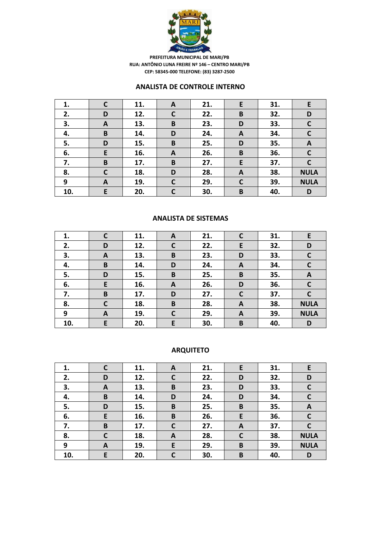

#### **ANALISTA DE CONTROLE INTERNO**

| 1.  | C | 11. | A            | 21. | E            | 31. | E            |
|-----|---|-----|--------------|-----|--------------|-----|--------------|
| 2.  | D | 12. | $\mathsf{C}$ | 22. | B            | 32. | D            |
| 3.  | A | 13. | B            | 23. | D            | 33. | $\mathbf c$  |
| 4.  | B | 14. | D            | 24. | A            | 34. | $\mathsf{C}$ |
| 5.  | D | 15. | B            | 25. | D            | 35. | A            |
| 6.  | E | 16. | A            | 26. | B            | 36. | $\mathbf c$  |
| 7.  | B | 17. | B            | 27. | E            | 37. | $\mathsf{C}$ |
| 8.  | C | 18. | D            | 28. | A            | 38. | <b>NULA</b>  |
| 9   | A | 19. | $\mathbf C$  | 29. | $\mathsf{C}$ | 39. | <b>NULA</b>  |
| 10. | E | 20. | $\mathsf{C}$ | 30. | B            | 40. | D            |

#### **ANALISTA DE SISTEMAS**

| 1.  | C | 11. | A            | 21. |              | 31. | E            |
|-----|---|-----|--------------|-----|--------------|-----|--------------|
| 2.  | D | 12. | $\mathbf C$  | 22. | E            | 32. | D            |
| 3.  | A | 13. | B            | 23. | D            | 33. | C            |
| 4.  | B | 14. | D            | 24. | A            | 34. | C            |
| 5.  | D | 15. | B            | 25. | B            | 35. | A            |
| 6.  | E | 16. | A            | 26. | D            | 36. | $\mathsf{C}$ |
| 7.  | B | 17. | D            | 27. | $\mathbf c$  | 37. | $\mathsf{C}$ |
| 8.  | C | 18. | B            | 28. | $\mathbf{A}$ | 38. | <b>NULA</b>  |
| 9   | A | 19. | $\mathsf{C}$ | 29. | A            | 39. | <b>NULA</b>  |
| 10. | E | 20. | E            | 30. | B            | 40. | D            |

# **ARQUITETO**

| 1.  | C | 11. | A            | 21. | E            | 31. | E            |
|-----|---|-----|--------------|-----|--------------|-----|--------------|
| 2.  | D | 12. | C            | 22. | D            | 32. | D            |
| 3.  | A | 13. | B            | 23. | D            | 33. | $\mathbf c$  |
| 4.  | B | 14. | D            | 24. | D            | 34. | $\mathsf{C}$ |
| 5.  | D | 15. | B            | 25. | B            | 35. | A            |
| 6.  | E | 16. | B            | 26. | E            | 36. | $\mathsf{C}$ |
| 7.  | B | 17. | $\mathsf{C}$ | 27. | A            | 37. | C            |
| 8.  | C | 18. | A            | 28. | $\mathsf{C}$ | 38. | <b>NULA</b>  |
| 9   | A | 19. | E            | 29. | B            | 39. | <b>NULA</b>  |
| 10. | E | 20. | C            | 30. | B            | 40. | D            |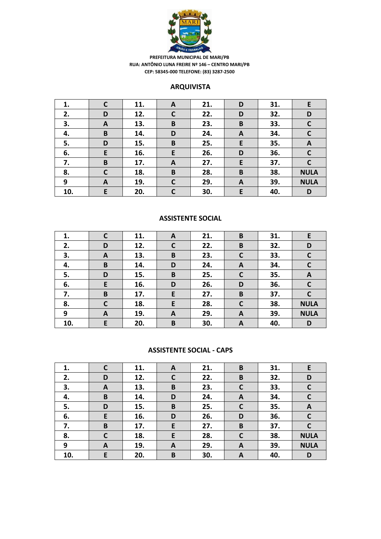

#### **ARQUIVISTA**

| 1.  | C            | 11. | A            | 21. | D | 31. | E            |
|-----|--------------|-----|--------------|-----|---|-----|--------------|
| 2.  | D            | 12. | $\mathsf{C}$ | 22. | D | 32. | D            |
| 3.  | A            | 13. | B            | 23. | B | 33. | $\mathsf{C}$ |
| 4.  | B            | 14. | D            | 24. | A | 34. | $\mathsf{C}$ |
| 5.  | D            | 15. | B            | 25. | E | 35. | A            |
| 6.  | E            | 16. | E            | 26. | D | 36. | $\mathbf c$  |
| 7.  | B            | 17. | A            | 27. | E | 37. | $\mathsf{C}$ |
| 8.  | $\mathsf{C}$ | 18. | B            | 28. | B | 38. | <b>NULA</b>  |
| 9   | A            | 19. | $\mathbf C$  | 29. | A | 39. | <b>NULA</b>  |
| 10. | E            | 20. | $\mathsf{C}$ | 30. | E | 40. | D            |

#### **ASSISTENTE SOCIAL**

| 1.  | $\mathsf{C}$ | 11. | A           | 21. | B            | 31. | E            |
|-----|--------------|-----|-------------|-----|--------------|-----|--------------|
| 2.  | D            | 12. | $\mathbf c$ | 22. | B            | 32. | D            |
| 3.  | A            | 13. | B           | 23. | $\mathsf{C}$ | 33. | $\mathsf{C}$ |
| 4.  | B            | 14. | D           | 24. | A            | 34. | $\mathsf{C}$ |
| 5.  | D            | 15. | B           | 25. | C            | 35. | A            |
| 6.  | E            | 16. | D           | 26. | D            | 36. | $\mathsf{C}$ |
| 7.  | B            | 17. | E           | 27. | B            | 37. | $\mathsf{C}$ |
| 8.  | $\mathsf{C}$ | 18. | E           | 28. | C            | 38. | <b>NULA</b>  |
| 9   | A            | 19. | A           | 29. | A            | 39. | <b>NULA</b>  |
| 10. | E            | 20. | B           | 30. | A            | 40. | D            |

#### **ASSISTENTE SOCIAL - CAPS**

| 1.  | C | 11. | A            | 21. | B            | 31. | E            |
|-----|---|-----|--------------|-----|--------------|-----|--------------|
| 2.  | D | 12. | $\mathsf{C}$ | 22. | B            | 32. | D            |
| 3.  | A | 13. | B            | 23. | $\mathsf{C}$ | 33. | $\mathsf{C}$ |
| 4.  | B | 14. | D            | 24. | A            | 34. | $\mathbf C$  |
| 5.  | D | 15. | B            | 25. | $\mathbf C$  | 35. | A            |
| 6.  | E | 16. | D            | 26. | D            | 36. | $\mathsf{C}$ |
| 7.  | B | 17. | E            | 27. | B            | 37. | C            |
| 8.  | C | 18. | E            | 28. | $\mathsf{C}$ | 38. | <b>NULA</b>  |
| 9   | A | 19. | A            | 29. | A            | 39. | <b>NULA</b>  |
| 10. | E | 20. | B            | 30. | A            | 40. | D            |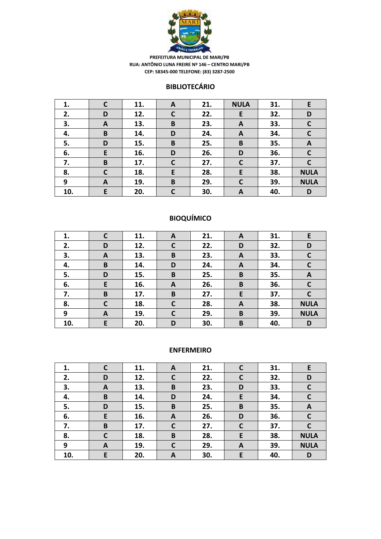

### **BIBLIOTECÁRIO**

| 1.  | C | 11. | A           | 21. | <b>NULA</b>  | 31. | E            |
|-----|---|-----|-------------|-----|--------------|-----|--------------|
| 2.  | D | 12. | $\mathbf C$ | 22. | E            | 32. | D            |
| 3.  | A | 13. | B           | 23. | A            | 33. | $\mathbf c$  |
| 4.  | B | 14. | D           | 24. | A            | 34. | $\mathsf{C}$ |
| 5.  | D | 15. | B           | 25. | B            | 35. | A            |
| 6.  | E | 16. | D           | 26. | D            | 36. | $\mathsf{C}$ |
| 7.  | B | 17. | $\mathbf C$ | 27. | $\mathsf{C}$ | 37. | C            |
| 8.  | C | 18. | E           | 28. | E            | 38. | <b>NULA</b>  |
| 9   | A | 19. | B           | 29. | $\mathsf{C}$ | 39. | <b>NULA</b>  |
| 10. | E | 20. | C           | 30. | A            | 40. | D            |

# **BIOQUÍMICO**

| 1.  |              | 11. | A           | 21. | A | 31. | E            |
|-----|--------------|-----|-------------|-----|---|-----|--------------|
| 2.  | D            | 12. | $\mathbf C$ | 22. | D | 32. | D            |
| 3.  | A            | 13. | B           | 23. | A | 33. | $\mathsf{C}$ |
| 4.  | B            | 14. | D           | 24. | A | 34. | $\mathsf{C}$ |
| 5.  | D            | 15. | B           | 25. | B | 35. | A            |
| 6.  | E            | 16. | A           | 26. | B | 36. | $\mathsf{C}$ |
| 7.  | B            | 17. | B           | 27. | E | 37. | $\mathsf{C}$ |
| 8.  | $\mathsf{C}$ | 18. | C           | 28. | A | 38. | <b>NULA</b>  |
| 9   | A            | 19. | C           | 29. | B | 39. | <b>NULA</b>  |
| 10. | E            | 20. | D           | 30. | B | 40. | D            |

### **ENFERMEIRO**

| 1.  | С | 11. | A            | 21. |   | 31. | E            |
|-----|---|-----|--------------|-----|---|-----|--------------|
| 2.  | D | 12. | C            | 22. |   | 32. | D            |
| 3.  | A | 13. | B            | 23. | D | 33. | $\mathbf c$  |
| 4.  | B | 14. | D            | 24. | E | 34. | $\mathsf{C}$ |
| 5.  | D | 15. | B            | 25. | B | 35. | A            |
| 6.  | E | 16. | A            | 26. | D | 36. | $\mathsf{C}$ |
| 7.  | B | 17. | $\mathsf{C}$ | 27. | C | 37. | C            |
| 8.  | C | 18. | B            | 28. | E | 38. | <b>NULA</b>  |
| 9   | A | 19. | C            | 29. | A | 39. | <b>NULA</b>  |
| 10. | E | 20. | A            | 30. | E | 40. | D            |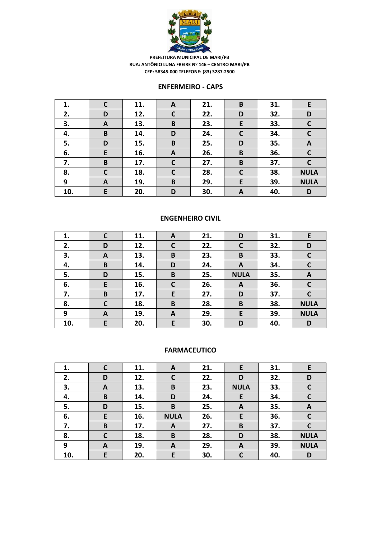

#### **ENFERMEIRO - CAPS**

| 1.  | C            | 11. | A            | 21. | B            | 31. | E            |
|-----|--------------|-----|--------------|-----|--------------|-----|--------------|
| 2.  | D            | 12. | $\mathsf{C}$ | 22. | D            | 32. | D            |
| 3.  | A            | 13. | B            | 23. | E            | 33. | $\mathsf{C}$ |
| 4.  | B            | 14. | D            | 24. | $\mathsf{C}$ | 34. | $\mathbf c$  |
| 5.  | D            | 15. | B            | 25. | D            | 35. | A            |
| 6.  | E            | 16. | A            | 26. | B            | 36. | $\mathbf C$  |
| 7.  | B            | 17. | $\mathsf{C}$ | 27. | B            | 37. | $\mathsf{C}$ |
| 8.  | $\mathsf{C}$ | 18. | $\mathsf{C}$ | 28. | C            | 38. | <b>NULA</b>  |
| 9   | $\mathbf{A}$ | 19. | B            | 29. | E            | 39. | <b>NULA</b>  |
| 10. | E            | 20. | D            | 30. | A            | 40. | D            |

#### **ENGENHEIRO CIVIL**

| 1.  | C | 11. | A                | 21. | D            | 31. | E            |
|-----|---|-----|------------------|-----|--------------|-----|--------------|
| 2.  | D | 12. | $\mathsf{C}$     | 22. | $\mathsf{C}$ | 32. | D            |
| 3.  | A | 13. | B                | 23. | B            | 33. | C            |
| 4.  | B | 14. | D                | 24. | A            | 34. | $\mathsf{C}$ |
| 5.  | D | 15. | $\pmb B$         | 25. | <b>NULA</b>  | 35. | A            |
| 6.  | E | 16. | $\mathbf C$      | 26. | A            | 36. | $\mathbf{C}$ |
| 7.  | B | 17. | E                | 27. | D            | 37. | $\mathsf{C}$ |
| 8.  | C | 18. | $\pmb B$         | 28. | B            | 38. | <b>NULA</b>  |
| 9   | A | 19. | $\boldsymbol{A}$ | 29. | E            | 39. | <b>NULA</b>  |
| 10. | E | 20. | E                | 30. | D            | 40. | D            |

#### **FARMACEUTICO**

| 1.  | C | 11. | A           | 21. | E           | 31. | E            |
|-----|---|-----|-------------|-----|-------------|-----|--------------|
| 2.  | D | 12. | C           | 22. | D           | 32. | D            |
| 3.  | A | 13. | B           | 23. | <b>NULA</b> | 33. | C            |
| 4.  | B | 14. | D           | 24. | E           | 34. | $\mathbf c$  |
| 5.  | D | 15. | B           | 25. | A           | 35. | A            |
| 6.  | E | 16. | <b>NULA</b> | 26. | E           | 36. | $\mathsf{C}$ |
| 7.  | B | 17. | A           | 27. | B           | 37. | C            |
| 8.  | С | 18. | B           | 28. | D           | 38. | <b>NULA</b>  |
| 9   | A | 19. | A           | 29. | A           | 39. | <b>NULA</b>  |
| 10. | E | 20. | E           | 30. |             | 40. | D            |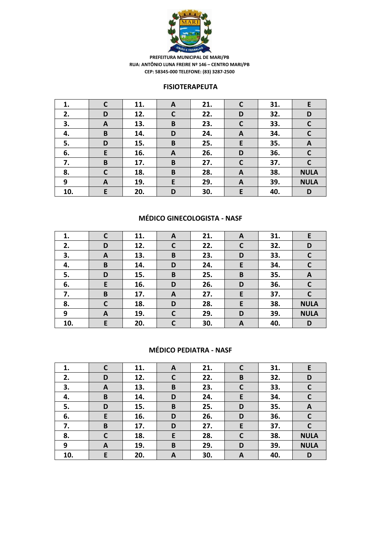

#### **FISIOTERAPEUTA**

| 1.  | C            | 11. | A            | 21. | C                | 31. | E            |
|-----|--------------|-----|--------------|-----|------------------|-----|--------------|
| 2.  | D            | 12. | $\mathsf{C}$ | 22. | D                | 32. | D            |
| 3.  | A            | 13. | B            | 23. | $\mathsf{C}$     | 33. | $\mathsf{C}$ |
| 4.  | B            | 14. | D            | 24. | A                | 34. | $\mathsf{C}$ |
| 5.  | D            | 15. | B            | 25. | E                | 35. | $\mathbf{A}$ |
| 6.  | E            | 16. | A            | 26. | D                | 36. | $\mathsf{C}$ |
| 7.  | B            | 17. | B            | 27. | $\mathsf{C}$     | 37. | C            |
| 8.  | $\mathsf{C}$ | 18. | B            | 28. | A                | 38. | <b>NULA</b>  |
| 9   | A            | 19. | E            | 29. | $\boldsymbol{A}$ | 39. | <b>NULA</b>  |
| 10. | E            | 20. | D            | 30. | E                | 40. | D            |

### **MÉDICO GINECOLOGISTA - NASF**

| 1.  |              | 11. | A            | 21. | A            | 31. | E.           |
|-----|--------------|-----|--------------|-----|--------------|-----|--------------|
| 2.  | D            | 12. | $\mathbf C$  | 22. | $\mathsf{C}$ | 32. | D            |
| 3.  | A            | 13. | B            | 23. | D            | 33. | $\mathsf{C}$ |
| 4.  | B            | 14. | D            | 24. | E            | 34. | $\mathbf C$  |
| 5.  | D            | 15. | B            | 25. | B            | 35. | A            |
| 6.  | E            | 16. | D            | 26. | D            | 36. | $\mathsf{C}$ |
| 7.  | B            | 17. | A            | 27. | E            | 37. | $\mathsf{C}$ |
| 8.  | $\mathsf{C}$ | 18. | D            | 28. | E            | 38. | <b>NULA</b>  |
| 9   | A            | 19. | C            | 29. | D            | 39. | <b>NULA</b>  |
| 10. | E            | 20. | $\mathsf{C}$ | 30. | A            | 40. | D            |

### **MÉDICO PEDIATRA - NASF**

| 1.  | C            | 11. | A           | 21. | $\mathsf{C}$ | 31. | E           |
|-----|--------------|-----|-------------|-----|--------------|-----|-------------|
| 2.  | D            | 12. | $\mathbf c$ | 22. | B            | 32. | D           |
| 3.  | A            | 13. | B           | 23. | $\mathsf{C}$ | 33. | C           |
| 4.  | B            | 14. | D           | 24. | E            | 34. | $\mathbf C$ |
| 5.  | D            | 15. | $\mathbf B$ | 25. | D            | 35. | A           |
| 6.  | E            | 16. | D           | 26. | D            | 36. |             |
| 7.  | B            | 17. | D           | 27. | E            | 37. |             |
| 8.  | $\mathsf{C}$ | 18. | E           | 28. | $\mathsf{C}$ | 38. | <b>NULA</b> |
| 9   | A            | 19. | $\mathbf B$ | 29. | D            | 39. | <b>NULA</b> |
| 10. | E            | 20. | A           | 30. | A            | 40. | D           |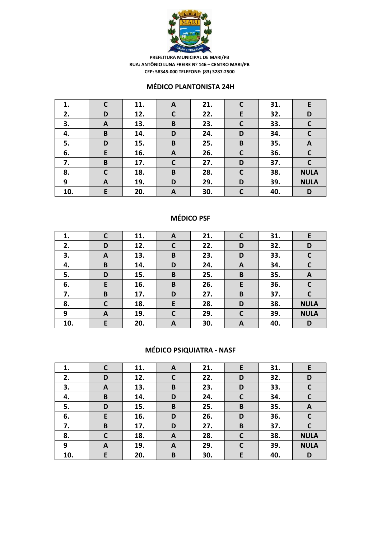

#### **MÉDICO PLANTONISTA 24H**

| 1.  | $\mathsf{C}$ | 11. | A           | 21. | C | 31. | E            |
|-----|--------------|-----|-------------|-----|---|-----|--------------|
| 2.  | D            | 12. | $\mathbf C$ | 22. | E | 32. | D            |
| 3.  | A            | 13. | B           | 23. | C | 33. | $\mathbf c$  |
| 4.  | B            | 14. | D           | 24. | D | 34. | $\mathbf c$  |
| 5.  | D            | 15. | B           | 25. | B | 35. | A            |
| 6.  | E            | 16. | A           | 26. | C | 36. | $\mathsf{C}$ |
| 7.  | B            | 17. | $\mathbf C$ | 27. | D | 37. | $\mathbf c$  |
| 8.  | C            | 18. | B           | 28. | C | 38. | <b>NULA</b>  |
| 9   | A            | 19. | D           | 29. | D | 39. | <b>NULA</b>  |
| 10. | E            | 20. | A           | 30. | C | 40. | D            |

### **MÉDICO PSF**

| 1.  |              | 11. | A           | 21. |              | 31. | E.           |
|-----|--------------|-----|-------------|-----|--------------|-----|--------------|
| 2.  | D            | 12. | $\mathbf C$ | 22. | D            | 32. | D            |
| 3.  | A            | 13. | B           | 23. | D            | 33. | $\mathsf{C}$ |
| 4.  | B            | 14. | D           | 24. | A            | 34. | $\mathbf C$  |
| 5.  | D            | 15. | B           | 25. | B            | 35. | A            |
| 6.  | E            | 16. | B           | 26. | E            | 36. | $\mathsf{C}$ |
| 7.  | B            | 17. | D           | 27. | B            | 37. | $\mathsf{C}$ |
| 8.  | $\mathsf{C}$ | 18. | E           | 28. | D            | 38. | <b>NULA</b>  |
| 9   | A            | 19. | C           | 29. | $\mathsf{C}$ | 39. | <b>NULA</b>  |
| 10. | E            | 20. | A           | 30. | A            | 40. | D            |

# **MÉDICO PSIQUIATRA - NASF**

| 1.  | C            | 11. | A            | 21. | E            | 31. | E            |
|-----|--------------|-----|--------------|-----|--------------|-----|--------------|
| 2.  | D            | 12. | $\mathsf{C}$ | 22. | D            | 32. | D            |
| 3.  | A            | 13. | B            | 23. | D            | 33. | $\mathsf{C}$ |
| 4.  | B            | 14. | D            | 24. | $\mathsf{C}$ | 34. | $\mathbf C$  |
| 5.  | D            | 15. | B            | 25. | B            | 35. | A            |
| 6.  | E            | 16. | D            | 26. | D            | 36. | $\mathsf{C}$ |
| 7.  | B            | 17. | D            | 27. | B            | 37. | C            |
| 8.  | $\mathsf{C}$ | 18. | A            | 28. | $\mathsf{C}$ | 38. | <b>NULA</b>  |
| 9   | A            | 19. | A            | 29. | $\mathsf{C}$ | 39. | <b>NULA</b>  |
| 10. | E            | 20. | B            | 30. | E            | 40. | D            |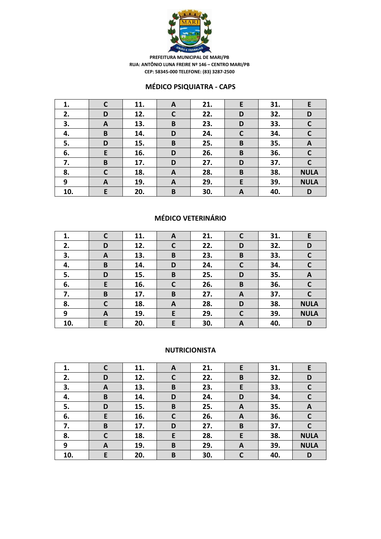

### **MÉDICO PSIQUIATRA - CAPS**

| 1.  | C | 11. | A            | 21. | E            | 31. | E            |
|-----|---|-----|--------------|-----|--------------|-----|--------------|
| 2.  | D | 12. | $\mathsf{C}$ | 22. | D            | 32. | D            |
| 3.  | A | 13. | B            | 23. | D            | 33. | $\mathbf c$  |
| 4.  | B | 14. | D            | 24. | $\mathsf{C}$ | 34. | $\mathbf C$  |
| 5.  | D | 15. | B            | 25. | B            | 35. | A            |
| 6.  | E | 16. | D            | 26. | B            | 36. | $\mathsf{C}$ |
| 7.  | B | 17. | D            | 27. | D            | 37. | C            |
| 8.  | C | 18. | A            | 28. | B            | 38. | <b>NULA</b>  |
| 9   | A | 19. | A            | 29. | E            | 39. | <b>NULA</b>  |
| 10. | E | 20. | B            | 30. | A            | 40. | D            |

## **MÉDICO VETERINÁRIO**

| 1.  |   | 11. | A           | 21. |   | 31. | E.           |
|-----|---|-----|-------------|-----|---|-----|--------------|
| 2.  | D | 12. | $\mathbf C$ | 22. | D | 32. | D            |
| 3.  | A | 13. | B           | 23. | B | 33. | $\mathsf{C}$ |
| 4.  | B | 14. | D           | 24. | C | 34. | $\mathsf{C}$ |
| 5.  | D | 15. | B           | 25. | D | 35. | A            |
| 6.  | E | 16. | $\mathbf C$ | 26. | B | 36. | $\mathbf C$  |
| 7.  | B | 17. | B           | 27. | A | 37. | $\mathsf{C}$ |
| 8.  | C | 18. | A           | 28. | D | 38. | <b>NULA</b>  |
| 9   | A | 19. | E           | 29. | C | 39. | <b>NULA</b>  |
| 10. | E | 20. | E           | 30. | A | 40. | D            |

#### **NUTRICIONISTA**

| 1.  | C | 11. | A           | 21. | E | 31. | E            |
|-----|---|-----|-------------|-----|---|-----|--------------|
| 2.  | D | 12. | C           | 22. | B | 32. | D            |
| 3.  | A | 13. | $\mathbf B$ | 23. | E | 33. | C            |
| 4.  | B | 14. | D           | 24. | D | 34. | $\mathsf{C}$ |
| 5.  | D | 15. | B           | 25. | A | 35. | A            |
| 6.  | E | 16. | C           | 26. | A | 36. | C            |
| 7.  | B | 17. | D           | 27. | B | 37. |              |
| 8.  | C | 18. | E           | 28. | E | 38. | <b>NULA</b>  |
| 9   | A | 19. | B           | 29. | A | 39. | <b>NULA</b>  |
| 10. | E | 20. | B           | 30. | C | 40. | D            |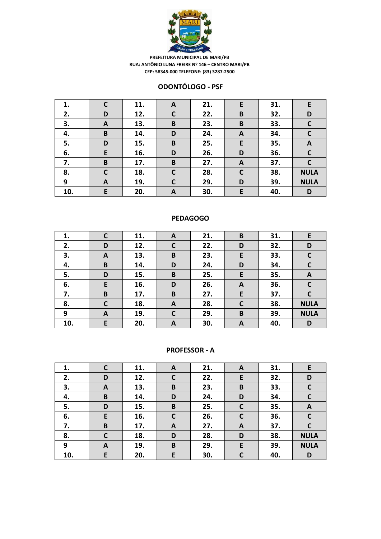

#### **ODONTÓLOGO - PSF**

| 1.  | C | 11. | A            | 21. | E           | 31. | E            |
|-----|---|-----|--------------|-----|-------------|-----|--------------|
| 2.  | D | 12. | $\mathsf{C}$ | 22. | B           | 32. | D            |
| 3.  | A | 13. | B            | 23. | B           | 33. | $\mathsf{C}$ |
| 4.  | B | 14. | D            | 24. | A           | 34. | $\mathsf{C}$ |
| 5.  | D | 15. | B            | 25. | E           | 35. | $\mathbf{A}$ |
| 6.  | E | 16. | D            | 26. | D           | 36. | $\mathsf{C}$ |
| 7.  | B | 17. | B            | 27. | A           | 37. | $\mathbf C$  |
| 8.  | C | 18. | C            | 28. | $\mathbf C$ | 38. | <b>NULA</b>  |
| 9   | A | 19. | $\mathbf C$  | 29. | D           | 39. | <b>NULA</b>  |
| 10. | E | 20. | A            | 30. | E           | 40. | D            |

### **PEDAGOGO**

| 1.  | C           | 11. | A            | 21. | B | 31. | E            |
|-----|-------------|-----|--------------|-----|---|-----|--------------|
| 2.  | D           | 12. | $\mathsf{C}$ | 22. | D | 32. | D            |
| 3.  | A           | 13. | B            | 23. | E | 33. | C            |
| 4.  | B           | 14. | D            | 24. | D | 34. | $\mathbf C$  |
| 5.  | D           | 15. | B            | 25. | E | 35. | A            |
| 6.  | E           | 16. | D            | 26. | A | 36. | $\mathsf{C}$ |
| 7.  | B           | 17. | B            | 27. | E | 37. |              |
| 8.  | $\mathbf c$ | 18. | A            | 28. | C | 38. | <b>NULA</b>  |
| 9   | A           | 19. | $\mathbf{C}$ | 29. | B | 39. | <b>NULA</b>  |
| 10. | E           | 20. | A            | 30. | A | 40. | D            |

#### **PROFESSOR - A**

| 1.  | C            | 11. | A           | 21. | A            | 31. | E           |
|-----|--------------|-----|-------------|-----|--------------|-----|-------------|
| 2.  | D            | 12. | $\mathbf C$ | 22. | E            | 32. | D           |
| 3.  | A            | 13. | B           | 23. | B            | 33. | C           |
| 4.  | B            | 14. | D           | 24. | D            | 34. | $\mathbf c$ |
| 5.  | D            | 15. | $\mathbf B$ | 25. | $\mathsf{C}$ | 35. | A           |
| 6.  | E            | 16. | C           | 26. | $\mathsf{C}$ | 36. | C           |
| 7.  | B            | 17. | A           | 27. | A            | 37. |             |
| 8.  | $\mathsf{C}$ | 18. | D           | 28. | D            | 38. | <b>NULA</b> |
| 9   | A            | 19. | B           | 29. | E            | 39. | <b>NULA</b> |
| 10. | E            | 20. | E           | 30. | C            | 40. | D           |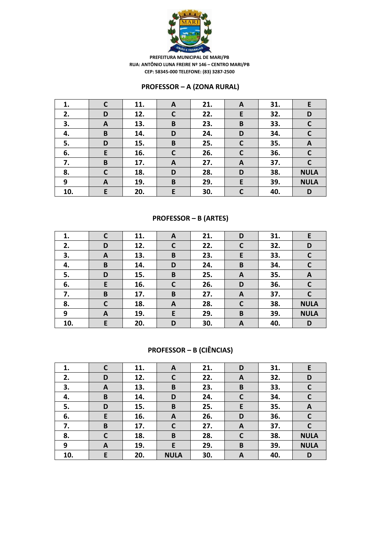

### **PROFESSOR – A (ZONA RURAL)**

| 1.  | $\mathsf{C}$ | 11. | A            | 21. | A | 31. | E            |
|-----|--------------|-----|--------------|-----|---|-----|--------------|
| 2.  | D            | 12. | $\mathbf c$  | 22. | E | 32. | D            |
| 3.  | A            | 13. | B            | 23. | B | 33. | $\mathbf c$  |
| 4.  | B            | 14. | D            | 24. | D | 34. | $\mathsf{C}$ |
| 5.  | D            | 15. | B            | 25. | C | 35. | A            |
| 6.  | E            | 16. | $\mathbf{C}$ | 26. | C | 36. | $\mathbf c$  |
| 7.  | B            | 17. | A            | 27. | A | 37. | $\mathbf C$  |
| 8.  | C            | 18. | D            | 28. | D | 38. | <b>NULA</b>  |
| 9   | A            | 19. | B            | 29. | E | 39. | <b>NULA</b>  |
| 10. | E            | 20. | E            | 30. | C | 40. | D            |

### **PROFESSOR – B (ARTES)**

| 1.  |              | 11. | A            | 21. | D            | 31. | E            |
|-----|--------------|-----|--------------|-----|--------------|-----|--------------|
| 2.  | D            | 12. | $\mathsf{C}$ | 22. | C            | 32. | D            |
| 3.  | A            | 13. | B            | 23. | E            | 33. | $\mathbf c$  |
| 4.  | B            | 14. | D            | 24. | B            | 34. | $\mathsf{C}$ |
| 5.  | D            | 15. | B            | 25. | A            | 35. | A            |
| 6.  | E            | 16. | $\mathsf{C}$ | 26. | D            | 36. | $\mathsf{C}$ |
| 7.  | B            | 17. | B            | 27. | A            | 37. | C            |
| 8.  | $\mathsf{C}$ | 18. | A            | 28. | $\mathsf{C}$ | 38. | <b>NULA</b>  |
| 9   | A            | 19. | E            | 29. | B            | 39. | <b>NULA</b>  |
| 10. | E            | 20. | D            | 30. | A            | 40. | D            |

# **PROFESSOR – B (CIÊNCIAS)**

| 1.  | C            | 11. | A            | 21. | D            | 31. | E            |
|-----|--------------|-----|--------------|-----|--------------|-----|--------------|
| 2.  | D            | 12. | $\mathsf{C}$ | 22. | A            | 32. | D            |
| 3.  | A            | 13. | B            | 23. | B            | 33. | $\mathsf{C}$ |
| 4.  | B            | 14. | D            | 24. | $\mathsf{C}$ | 34. | $\mathbf C$  |
| 5.  | D            | 15. | B            | 25. | E            | 35. | A            |
| 6.  | E            | 16. | A            | 26. | D            | 36. | $\mathbf C$  |
| 7.  | B            | 17. | $\mathbf c$  | 27. | A            | 37. | C            |
| 8.  | $\mathsf{C}$ | 18. | B            | 28. | $\mathsf{C}$ | 38. | <b>NULA</b>  |
| 9   | A            | 19. | E            | 29. | B            | 39. | <b>NULA</b>  |
| 10. | E            | 20. | <b>NULA</b>  | 30. | A            | 40. | D            |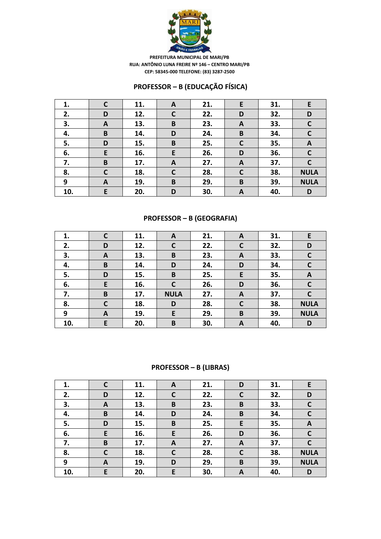

### **PROFESSOR – B (EDUCAÇÃO FÍSICA)**

| 1.  | C | 11. | A           | 21. | E           | 31. | E            |
|-----|---|-----|-------------|-----|-------------|-----|--------------|
| 2.  | D | 12. | $\mathbf c$ | 22. | D           | 32. | D            |
| 3.  | A | 13. | B           | 23. | A           | 33. | $\mathbf c$  |
| 4.  | B | 14. | D           | 24. | B           | 34. | $\mathsf{C}$ |
| 5.  | D | 15. | $\mathbf B$ | 25. | $\mathbf C$ | 35. | $\mathbf{A}$ |
| 6.  | E | 16. | E           | 26. | D           | 36. | $\mathbf C$  |
| 7.  | B | 17. | A           | 27. | A           | 37. | C            |
| 8.  | C | 18. | C           | 28. | C           | 38. | <b>NULA</b>  |
| 9   | A | 19. | $\mathbf B$ | 29. | B           | 39. | <b>NULA</b>  |
| 10. | E | 20. | D           | 30. | A           | 40. | D            |

### **PROFESSOR – B (GEOGRAFIA)**

| 1.  |              | 11. | A            | 21. | A | 31. | E            |
|-----|--------------|-----|--------------|-----|---|-----|--------------|
| 2.  | D            | 12. | $\mathsf{C}$ | 22. |   | 32. | D            |
| 3.  | A            | 13. | B            | 23. | A | 33. | C            |
| 4.  | B            | 14. | D            | 24. | D | 34. | $\mathsf{C}$ |
| 5.  | D            | 15. | B            | 25. | E | 35. | A            |
| 6.  | E            | 16. | $\mathsf{C}$ | 26. | D | 36. | $\mathbf c$  |
| 7.  | B            | 17. | <b>NULA</b>  | 27. | A | 37. | $\mathsf{C}$ |
| 8.  | $\mathsf{C}$ | 18. | D            | 28. | C | 38. | <b>NULA</b>  |
| 9   | A            | 19. | E            | 29. | B | 39. | <b>NULA</b>  |
| 10. | E            | 20. | B            | 30. | A | 40. | D            |

### **PROFESSOR – B (LIBRAS)**

| 1.  | C            | 11. | A            | 21. | D            | 31. | E            |
|-----|--------------|-----|--------------|-----|--------------|-----|--------------|
| 2.  | D            | 12. | $\mathbf c$  | 22. | $\mathbf c$  | 32. | D            |
| 3.  | A            | 13. | B            | 23. | B            | 33. | $\mathsf{C}$ |
| 4.  | B            | 14. | D            | 24. | B            | 34. | $\mathsf{C}$ |
| 5.  | D            | 15. | B            | 25. | E            | 35. | A            |
| 6.  | E            | 16. | E            | 26. | D            | 36. | $\mathbf C$  |
| 7.  | B            | 17. | $\mathbf{A}$ | 27. | A            | 37. | C            |
| 8.  | $\mathsf{C}$ | 18. | $\mathbf c$  | 28. | $\mathsf{C}$ | 38. | <b>NULA</b>  |
| 9   | A            | 19. | D            | 29. | B            | 39. | <b>NULA</b>  |
| 10. | E            | 20. | E            | 30. | A            | 40. | D            |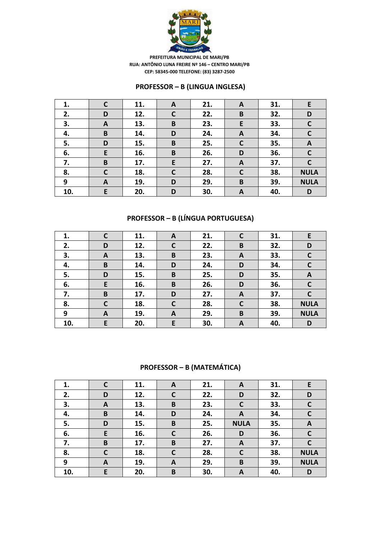

### **PROFESSOR – B (LINGUA INGLESA)**

| 1.  | $\mathbf C$ | 11. | A           | 21. | A            | 31. | E            |
|-----|-------------|-----|-------------|-----|--------------|-----|--------------|
| 2.  | D           | 12. | $\mathbf c$ | 22. | B            | 32. | D            |
| 3.  | A           | 13. | B           | 23. | E            | 33. | $\mathbf c$  |
| 4.  | B           | 14. | D           | 24. | A            | 34. | $\mathsf{C}$ |
| 5.  | D           | 15. | B           | 25. | $\mathbf C$  | 35. | $\mathbf{A}$ |
| 6.  | E           | 16. | B           | 26. | D            | 36. | $\mathsf{C}$ |
| 7.  | B           | 17. | E           | 27. | A            | 37. | C            |
| 8.  | C           | 18. | C           | 28. | $\mathsf{C}$ | 38. | <b>NULA</b>  |
| 9   | A           | 19. | D           | 29. | B            | 39. | <b>NULA</b>  |
| 10. | E           | 20. | D           | 30. | A            | 40. | D            |

# **PROFESSOR – B (LÍNGUA PORTUGUESA)**

| 1.  | $\mathbf C$  | 11. | A            | 21. |              | 31. | E            |
|-----|--------------|-----|--------------|-----|--------------|-----|--------------|
| 2.  | D            | 12. | $\mathsf{C}$ | 22. | B            | 32. | D            |
| 3.  | A            | 13. | B            | 23. | A            | 33. | $\mathsf{C}$ |
| 4.  | B            | 14. | D            | 24. | D            | 34. | $\mathsf{C}$ |
| 5.  | D            | 15. | B            | 25. | D            | 35. | A            |
| 6.  | E            | 16. | B            | 26. | D            | 36. | $\mathbf c$  |
| 7.  | B            | 17. | D            | 27. | A            | 37. | $\mathsf{C}$ |
| 8.  | $\mathsf{C}$ | 18. | $\mathsf{C}$ | 28. | $\mathsf{C}$ | 38. | <b>NULA</b>  |
| 9   | A            | 19. | A            | 29. | B            | 39. | <b>NULA</b>  |
| 10. | E            | 20. | E            | 30. | A            | 40. | D            |

### **PROFESSOR – B (MATEMÁTICA)**

| 1.  | C | 11. | A | 21. | A            | 31. | E            |
|-----|---|-----|---|-----|--------------|-----|--------------|
| 2.  | D | 12. | C | 22. | D            | 32. | D            |
| 3.  | A | 13. | B | 23. | $\mathsf{C}$ | 33. | $\mathbf C$  |
| 4.  | B | 14. | D | 24. | A            | 34. | $\mathbf C$  |
| 5.  | D | 15. | B | 25. | <b>NULA</b>  | 35. | $\mathbf{A}$ |
| 6.  | E | 16. | C | 26. | D            | 36. | $\mathbf C$  |
| 7.  | B | 17. | B | 27. | $\mathbf{A}$ | 37. | C            |
| 8.  | C | 18. | C | 28. | $\mathbf C$  | 38. | <b>NULA</b>  |
| 9   | A | 19. | A | 29. | B            | 39. | <b>NULA</b>  |
| 10. | E | 20. | B | 30. | A            | 40. | D            |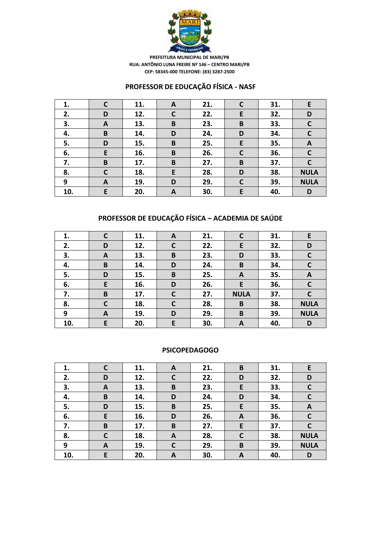

### **PROFESSOR DE EDUCAÇÃO FÍSICA - NASF**

| 1.  | С            | 11. | A            | 21. | $\mathsf{C}$ | 31. | E           |
|-----|--------------|-----|--------------|-----|--------------|-----|-------------|
| 2.  | D            | 12. | $\mathsf{C}$ | 22. | E            | 32. | D           |
| 3.  | A            | 13. | $\mathbf B$  | 23. | B            | 33. | $\mathbf C$ |
| 4.  | B            | 14. | D            | 24. | D            | 34. | C           |
| 5.  | D            | 15. | B            | 25. | E            | 35. | A           |
| 6.  | E            | 16. | B            | 26. | $\mathsf{C}$ | 36. | $\mathbf C$ |
| 7.  | B            | 17. | B            | 27. | B            | 37. | C           |
| 8.  | $\mathsf{C}$ | 18. | E            | 28. | D            | 38. | <b>NULA</b> |
| 9   | A            | 19. | D            | 29. | $\mathsf{C}$ | 39. | <b>NULA</b> |
| 10. | E            | 20. | A            | 30. | E            | 40. | D           |

# **PROFESSOR DE EDUCAÇÃO FÍSICA – ACADEMIA DE SAÚDE**

| 1.  | C            | 11. | A            | 21. |             | 31. | E            |
|-----|--------------|-----|--------------|-----|-------------|-----|--------------|
| 2.  | D            | 12. | $\mathsf{C}$ | 22. | E           | 32. | D            |
| 3.  | A            | 13. | B            | 23. | D           | 33. | $\mathsf{C}$ |
| 4.  | B            | 14. | D            | 24. | B           | 34. | $\mathsf{C}$ |
| 5.  | D            | 15. | B            | 25. | A           | 35. | A            |
| 6.  | E            | 16. | D            | 26. | E           | 36. | $\mathbf c$  |
| 7.  | B            | 17. | $\mathbf c$  | 27. | <b>NULA</b> | 37. | $\mathsf{C}$ |
| 8.  | $\mathsf{C}$ | 18. | $\mathsf{C}$ | 28. | B           | 38. | <b>NULA</b>  |
| 9   | A            | 19. | D            | 29. | B           | 39. | <b>NULA</b>  |
| 10. | E            | 20. | E            | 30. | A           | 40. | D            |

#### **PSICOPEDAGOGO**

| 1.  | С            | 11. | A | 21. | B              | 31. | E            |
|-----|--------------|-----|---|-----|----------------|-----|--------------|
| 2.  | D            | 12. | C | 22. | D              | 32. | D            |
| 3.  | A            | 13. | B | 23. | E              | 33. | $\mathbf c$  |
| 4.  | B            | 14. | D | 24. | D              | 34. | $\mathsf{C}$ |
| 5.  | D            | 15. | B | 25. | E              | 35. | A            |
| 6.  | E            | 16. | D | 26. | $\overline{A}$ | 36. | C            |
| 7.  | B            | 17. | B | 27. | E              | 37. | C            |
| 8.  | $\mathsf{C}$ | 18. | A | 28. | $\mathsf{C}$   | 38. | <b>NULA</b>  |
| 9   | A            | 19. | C | 29. | B              | 39. | <b>NULA</b>  |
| 10. | E            | 20. | A | 30. | A              | 40. | D            |